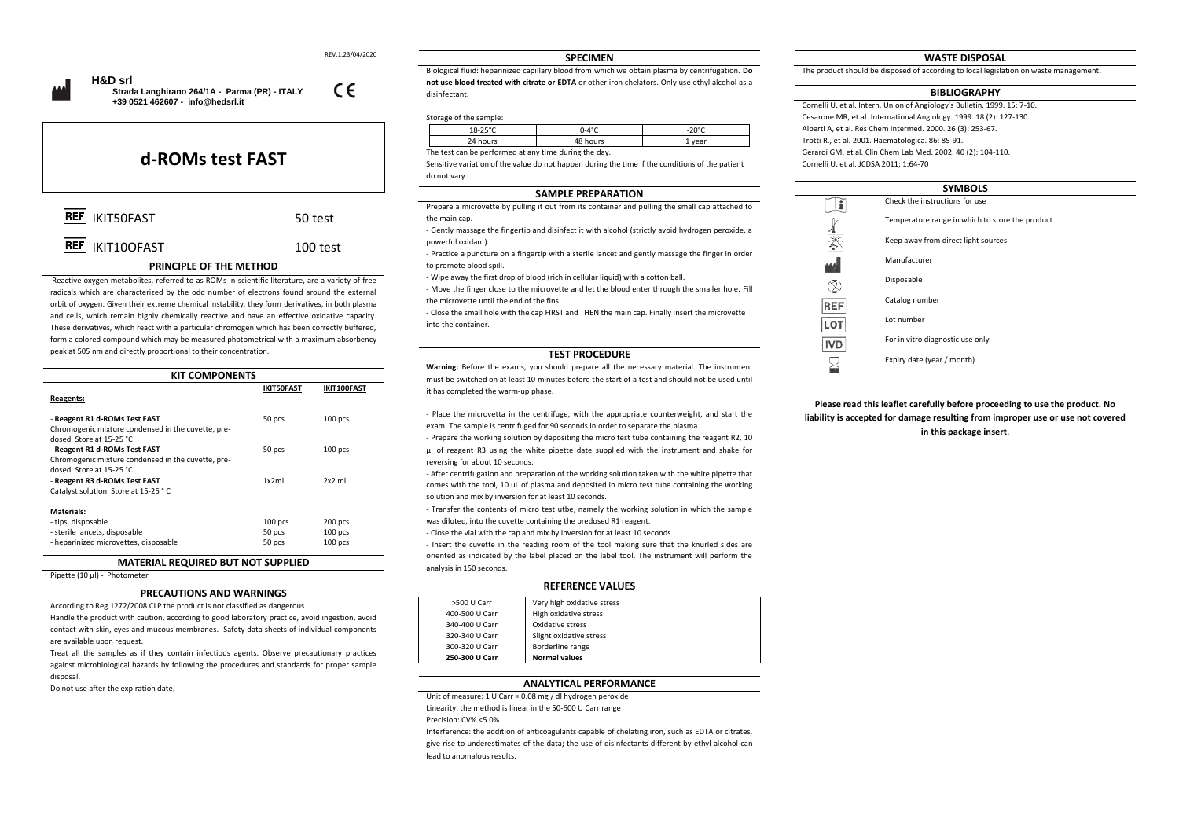REV.1.23/04/2020

 $\epsilon$ 



 **Strada Langhirano 264/1A - Parma (PR) - ITALY +39 0521 462607 - [info@hedsrl.it](mailto:info@hedsrl.it)** 

**d-ROMs test FAST**

| REF IKIT50FAST         | 50 test    |
|------------------------|------------|
| <b>REF</b> IKIT10OFAST | $100$ test |

## **PRINCIPLE OF THE METHOD**

Reactive oxygen metabolites, referred to as ROMs in scientific literature, are a variety of free radicals which are characterized by the odd number of electrons found around the external orbit of oxygen. Given their extreme chemical instability, they form derivatives, in both plasma and cells, which remain highly chemically reactive and have an effective oxidative capacity. These derivatives, which react with a particular chromogen which has been correctly buffered, form a colored compound which may be measured photometrical with a maximum absorbency peak at 505 nm and directly proportional to their concentration.

| <b>KIT COMPONENTS</b>                                                           |                   |             |
|---------------------------------------------------------------------------------|-------------------|-------------|
|                                                                                 | <b>IKIT50FAST</b> | IKIT100FAST |
| Reagents:                                                                       |                   |             |
| - Reagent R1 d-ROMs Test FAST                                                   | 50 pcs            | $100$ pcs   |
| Chromogenic mixture condensed in the cuvette, pre-<br>dosed. Store at 15-25 °C. |                   |             |
| - Reagent R1 d-ROMs Test FAST                                                   | 50 pcs            | $100$ pcs   |
| Chromogenic mixture condensed in the cuvette, pre-                              |                   |             |
| dosed. Store at 15-25 °C.<br>- Reagent R3 d-ROMs Test FAST                      | 1x2ml             | $2x2$ ml    |
| Catalyst solution. Store at 15-25 °C                                            |                   |             |
| Materials:                                                                      |                   |             |
| - tips, disposable                                                              | 100 pcs           | 200 pcs     |
| - sterile lancets, disposable                                                   | 50 pcs            | $100$ pcs   |
| - heparinized microvettes, disposable                                           | 50 pcs            | $100$ pcs   |

# **MATERIAL REQUIRED BUT NOT SUPPLIED**

Pipette (10 µl) - Photometer

#### **PRECAUTIONS AND WARNINGS**

According to Reg 1272/2008 CLP the product is not classified as dangerous.

Handle the product with caution, according to good laboratory practice, avoid ingestion, avoid contact with skin, eyes and mucous membranes. Safety data sheets of individual components are available upon request.

Treat all the samples as if they contain infectious agents. Observe precautionary practices against microbiological hazards by following the procedures and standards for proper sample disposal.

Do not use after the expiration date.

#### **SPECIMEN**

Biological fluid: heparinized capillary blood from which we obtain plasma by centrifugation. **Do not use blood treated with citrate or EDTA** or other iron chelators. Only use ethyl alcohol as a disinfectant.

## Storage of the sample:

| 2000<br>ᅭ | $0 - A^{\circ}C$ | nner       |
|-----------|------------------|------------|
|           |                  | 11021<br>- |

The test can be performed at any time during the day.

Sensitive variation of the value do not happen during the time if the conditions of the patient do not vary.

## **SAMPLE PREPARATION**

Prepare a microvette by pulling it out from its container and pulling the small cap attached to the main cap.

- Gently massage the fingertip and disinfect it with alcohol (strictly avoid hydrogen peroxide, a powerful oxidant).

- Practice a puncture on a fingertip with a sterile lancet and gently massage the finger in order to promote blood spill.

- Wipe away the first drop of blood (rich in cellular liquid) with a cotton ball.

- Move the finger close to the microvette and let the blood enter through the smaller hole. Fill the microvette until the end of the fins.

- Close the small hole with the cap FIRST and THEN the main cap. Finally insert the microvette into the container.

## **TEST PROCEDURE**

**Warning:** Before the exams, you should prepare all the necessary material. The instrument must be switched on at least 10 minutes before the start of a test and should not be used until it has completed the warm-up phase.

- Place the microvetta in the centrifuge, with the appropriate counterweight, and start the exam. The sample is centrifuged for 90 seconds in order to separate the plasma.

- Prepare the working solution by depositing the micro test tube containing the reagent R2, 10 μl of reagent R3 using the white pipette date supplied with the instrument and shake for reversing for about 10 seconds.

- After centrifugation and preparation of the working solution taken with the white pipette that comes with the tool, 10 uL of plasma and deposited in micro test tube containing the working solution and mix by inversion for at least 10 seconds.

- Transfer the contents of micro test utbe, namely the working solution in which the sample was diluted, into the cuvette containing the predosed R1 reagent.

- Close the vial with the cap and mix by inversion for at least 10 seconds.

- Insert the cuvette in the reading room of the tool making sure that the knurled sides are oriented as indicated by the label placed on the label tool. The instrument will perform the analysis in 150 seconds. **REFERENCE VALUES**

| KEFEKEINLE VALUES |                            |
|-------------------|----------------------------|
| >500 U Carr       | Very high oxidative stress |
| 400-500 U Carr    | High oxidative stress      |
| 340-400 U Carr    | Oxidative stress           |
| 320-340 U Carr    | Slight oxidative stress    |
| 300-320 U Carr    | Borderline range           |
| 250-300 U Carr    | <b>Normal values</b>       |

#### **ANALYTICAL PERFORMANCE**

Unit of measure: 1 U Carr = 0.08 mg / dl hydrogen peroxide

Linearity: the method is linear in the 50-600 U Carr range

Precision: CV% <5.0%

Interference: the addition of anticoagulants capable of chelating iron, such as EDTA or citrates, give rise to underestimates of the data; the use of disinfectants different by ethyl alcohol can lead to anomalous results.

## **WASTE DISPOSAL**

The product should be disposed of according to local legislation on waste management.

#### **BIBLIOGRAPHY**

Cornelli U, et al. Intern. Union of Angiology's Bulletin. 1999. 15: 7-10. Cesarone MR, et al. International Angiology. 1999. 18 (2): 127-130. Alberti A, et al. Res Chem Intermed. 2000. 26 (3): 253-67. Trotti R., et al. 2001. Haematologica. 86: 85-91. Gerardi GM, et al. Clin Chem Lab Med. 2002. 40 (2): 104-110. Cornelli U. et al. JCDSA 2011; 1:64-70

| <b>SYMBOLS</b> |                                                 |  |
|----------------|-------------------------------------------------|--|
|                | Check the instructions for use                  |  |
|                | Temperature range in which to store the product |  |
| ≹              | Keep away from direct light sources             |  |
|                | Manufacturer                                    |  |
|                | Disposable                                      |  |
| <b>REF</b>     | Catalog number                                  |  |
| LO'            | Lot number                                      |  |
| <b>IVD</b>     | For in vitro diagnostic use only                |  |
|                | Expiry date (year / month)                      |  |
|                |                                                 |  |

**Please read this leaflet carefully before proceeding to use the product. No liability is accepted for damage resulting from improper use or use not covered in this package insert.**